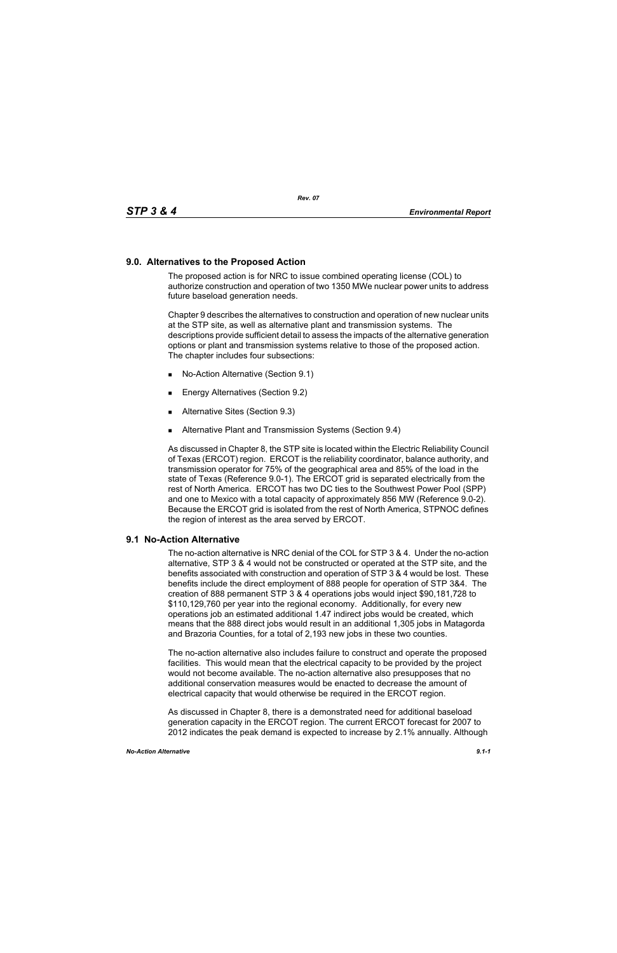## **9.0. Alternatives to the Proposed Action**

The proposed action is for NRC to issue combined operating license (COL) to authorize construction and operation of two 1350 MWe nuclear power units to address future baseload generation needs.

Chapter 9 describes the alternatives to construction and operation of new nuclear units at the STP site, as well as alternative plant and transmission systems. The descriptions provide sufficient detail to assess the impacts of the alternative generation options or plant and transmission systems relative to those of the proposed action. The chapter includes four subsections:

- No-Action Alternative (Section 9.1)
- **Energy Alternatives (Section 9.2)**
- **Alternative Sites (Section 9.3)**
- **Alternative Plant and Transmission Systems (Section 9.4)**

As discussed in Chapter 8, the STP site is located within the Electric Reliability Council of Texas (ERCOT) region. ERCOT is the reliability coordinator, balance authority, and transmission operator for 75% of the geographical area and 85% of the load in the state of Texas (Reference 9.0-1). The ERCOT grid is separated electrically from the rest of North America. ERCOT has two DC ties to the Southwest Power Pool (SPP) and one to Mexico with a total capacity of approximately 856 MW (Reference 9.0-2). Because the ERCOT grid is isolated from the rest of North America, STPNOC defines the region of interest as the area served by ERCOT.

## **9.1 No-Action Alternative**

The no-action alternative is NRC denial of the COL for STP 3 & 4. Under the no-action alternative, STP 3 & 4 would not be constructed or operated at the STP site, and the benefits associated with construction and operation of STP 3 & 4 would be lost. These benefits include the direct employment of 888 people for operation of STP 3&4. The creation of 888 permanent STP 3 & 4 operations jobs would inject \$90,181,728 to \$110,129,760 per year into the regional economy. Additionally, for every new operations job an estimated additional 1.47 indirect jobs would be created, which means that the 888 direct jobs would result in an additional 1,305 jobs in Matagorda and Brazoria Counties, for a total of 2,193 new jobs in these two counties.

The no-action alternative also includes failure to construct and operate the proposed facilities. This would mean that the electrical capacity to be provided by the project would not become available. The no-action alternative also presupposes that no additional conservation measures would be enacted to decrease the amount of electrical capacity that would otherwise be required in the ERCOT region.

As discussed in Chapter 8, there is a demonstrated need for additional baseload generation capacity in the ERCOT region. The current ERCOT forecast for 2007 to 2012 indicates the peak demand is expected to increase by 2.1% annually. Although